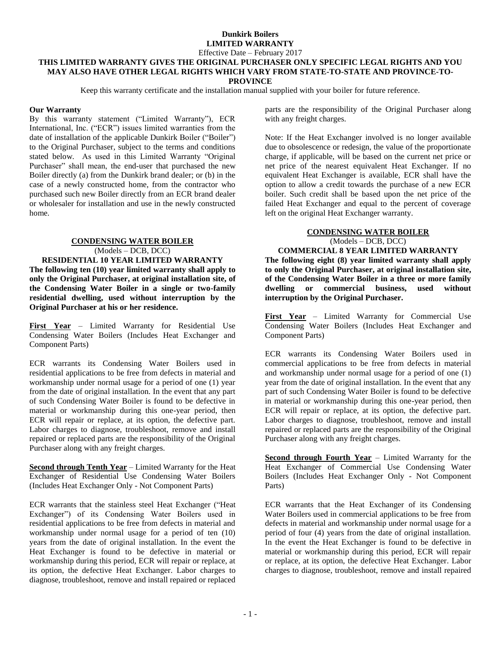## **Dunkirk Boilers LIMITED WARRANTY**

Effective Date – February 2017

#### **THIS LIMITED WARRANTY GIVES THE ORIGINAL PURCHASER ONLY SPECIFIC LEGAL RIGHTS AND YOU MAY ALSO HAVE OTHER LEGAL RIGHTS WHICH VARY FROM STATE-TO-STATE AND PROVINCE-TO-PROVINCE**

Keep this warranty certificate and the installation manual supplied with your boiler for future reference.

### **Our Warranty**

By this warranty statement ("Limited Warranty"), ECR International, Inc. ("ECR") issues limited warranties from the date of installation of the applicable Dunkirk Boiler ("Boiler") to the Original Purchaser, subject to the terms and conditions stated below. As used in this Limited Warranty "Original Purchaser" shall mean, the end-user that purchased the new Boiler directly (a) from the Dunkirk brand dealer; or (b) in the case of a newly constructed home, from the contractor who purchased such new Boiler directly from an ECR brand dealer or wholesaler for installation and use in the newly constructed home.

# **CONDENSING WATER BOILER**

(Models – DCB, DCC)

**RESIDENTIAL 10 YEAR LIMITED WARRANTY The following ten (10) year limited warranty shall apply to only the Original Purchaser, at original installation site, of the Condensing Water Boiler in a single or two-family residential dwelling, used without interruption by the Original Purchaser at his or her residence.**

**First Year** – Limited Warranty for Residential Use Condensing Water Boilers (Includes Heat Exchanger and Component Parts)

ECR warrants its Condensing Water Boilers used in residential applications to be free from defects in material and workmanship under normal usage for a period of one (1) year from the date of original installation. In the event that any part of such Condensing Water Boiler is found to be defective in material or workmanship during this one-year period, then ECR will repair or replace, at its option, the defective part. Labor charges to diagnose, troubleshoot, remove and install repaired or replaced parts are the responsibility of the Original Purchaser along with any freight charges.

**Second through Tenth Year** – Limited Warranty for the Heat Exchanger of Residential Use Condensing Water Boilers (Includes Heat Exchanger Only - Not Component Parts)

ECR warrants that the stainless steel Heat Exchanger ("Heat Exchanger") of its Condensing Water Boilers used in residential applications to be free from defects in material and workmanship under normal usage for a period of ten (10) years from the date of original installation. In the event the Heat Exchanger is found to be defective in material or workmanship during this period, ECR will repair or replace, at its option, the defective Heat Exchanger. Labor charges to diagnose, troubleshoot, remove and install repaired or replaced

parts are the responsibility of the Original Purchaser along with any freight charges.

Note: If the Heat Exchanger involved is no longer available due to obsolescence or redesign, the value of the proportionate charge, if applicable, will be based on the current net price or net price of the nearest equivalent Heat Exchanger. If no equivalent Heat Exchanger is available, ECR shall have the option to allow a credit towards the purchase of a new ECR boiler. Such credit shall be based upon the net price of the failed Heat Exchanger and equal to the percent of coverage left on the original Heat Exchanger warranty.

#### **CONDENSING WATER BOILER** (Models – DCB, DCC) **COMMERCIAL 8 YEAR LIMITED WARRANTY**

**The following eight (8) year limited warranty shall apply to only the Original Purchaser, at original installation site, of the Condensing Water Boiler in a three or more family dwelling or commercial business, used without interruption by the Original Purchaser.**

**First Year** – Limited Warranty for Commercial Use Condensing Water Boilers (Includes Heat Exchanger and Component Parts)

ECR warrants its Condensing Water Boilers used in commercial applications to be free from defects in material and workmanship under normal usage for a period of one (1) year from the date of original installation. In the event that any part of such Condensing Water Boiler is found to be defective in material or workmanship during this one-year period, then ECR will repair or replace, at its option, the defective part. Labor charges to diagnose, troubleshoot, remove and install repaired or replaced parts are the responsibility of the Original Purchaser along with any freight charges.

**Second through Fourth Year** – Limited Warranty for the Heat Exchanger of Commercial Use Condensing Water Boilers (Includes Heat Exchanger Only - Not Component Parts)

ECR warrants that the Heat Exchanger of its Condensing Water Boilers used in commercial applications to be free from defects in material and workmanship under normal usage for a period of four (4) years from the date of original installation. In the event the Heat Exchanger is found to be defective in material or workmanship during this period, ECR will repair or replace, at its option, the defective Heat Exchanger. Labor charges to diagnose, troubleshoot, remove and install repaired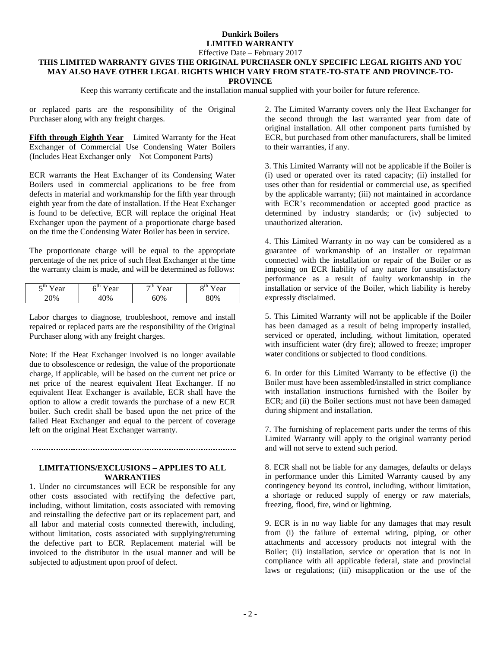## **Dunkirk Boilers LIMITED WARRANTY**

Effective Date – February 2017

#### **THIS LIMITED WARRANTY GIVES THE ORIGINAL PURCHASER ONLY SPECIFIC LEGAL RIGHTS AND YOU MAY ALSO HAVE OTHER LEGAL RIGHTS WHICH VARY FROM STATE-TO-STATE AND PROVINCE-TO-PROVINCE**

Keep this warranty certificate and the installation manual supplied with your boiler for future reference.

or replaced parts are the responsibility of the Original Purchaser along with any freight charges.

**Fifth through Eighth Year** – Limited Warranty for the Heat Exchanger of Commercial Use Condensing Water Boilers (Includes Heat Exchanger only – Not Component Parts)

ECR warrants the Heat Exchanger of its Condensing Water Boilers used in commercial applications to be free from defects in material and workmanship for the fifth year through eighth year from the date of installation. If the Heat Exchanger is found to be defective, ECR will replace the original Heat Exchanger upon the payment of a proportionate charge based on the time the Condensing Water Boiler has been in service.

The proportionate charge will be equal to the appropriate percentage of the net price of such Heat Exchanger at the time the warranty claim is made, and will be determined as follows:

| $\epsilon$ <sup>III</sup><br>Ua⊥<br>$\overline{\phantom{0}}$ | - 11<br>ear | 7 <sub>u</sub><br>ear | ош<br>ear |
|--------------------------------------------------------------|-------------|-----------------------|-----------|
| $^{19}$                                                      |             | $\frac{9}{6}$         | ′С<br>ີ   |

Labor charges to diagnose, troubleshoot, remove and install repaired or replaced parts are the responsibility of the Original Purchaser along with any freight charges.

Note: If the Heat Exchanger involved is no longer available due to obsolescence or redesign, the value of the proportionate charge, if applicable, will be based on the current net price or net price of the nearest equivalent Heat Exchanger. If no equivalent Heat Exchanger is available, ECR shall have the option to allow a credit towards the purchase of a new ECR boiler. Such credit shall be based upon the net price of the failed Heat Exchanger and equal to the percent of coverage left on the original Heat Exchanger warranty.

#### 

## **LIMITATIONS/EXCLUSIONS – APPLIES TO ALL WARRANTIES**

1. Under no circumstances will ECR be responsible for any other costs associated with rectifying the defective part, including, without limitation, costs associated with removing and reinstalling the defective part or its replacement part, and all labor and material costs connected therewith, including, without limitation, costs associated with supplying/returning the defective part to ECR. Replacement material will be invoiced to the distributor in the usual manner and will be subjected to adjustment upon proof of defect.

2. The Limited Warranty covers only the Heat Exchanger for the second through the last warranted year from date of original installation. All other component parts furnished by ECR, but purchased from other manufacturers, shall be limited to their warranties, if any.

3. This Limited Warranty will not be applicable if the Boiler is (i) used or operated over its rated capacity; (ii) installed for uses other than for residential or commercial use, as specified by the applicable warranty; (iii) not maintained in accordance with ECR's recommendation or accepted good practice as determined by industry standards; or (iv) subjected to unauthorized alteration.

4. This Limited Warranty in no way can be considered as a guarantee of workmanship of an installer or repairman connected with the installation or repair of the Boiler or as imposing on ECR liability of any nature for unsatisfactory performance as a result of faulty workmanship in the installation or service of the Boiler, which liability is hereby expressly disclaimed.

5. This Limited Warranty will not be applicable if the Boiler has been damaged as a result of being improperly installed, serviced or operated, including, without limitation, operated with insufficient water (dry fire); allowed to freeze; improper water conditions or subjected to flood conditions.

6. In order for this Limited Warranty to be effective (i) the Boiler must have been assembled/installed in strict compliance with installation instructions furnished with the Boiler by ECR; and (ii) the Boiler sections must not have been damaged during shipment and installation.

7. The furnishing of replacement parts under the terms of this Limited Warranty will apply to the original warranty period and will not serve to extend such period.

8. ECR shall not be liable for any damages, defaults or delays in performance under this Limited Warranty caused by any contingency beyond its control, including, without limitation, a shortage or reduced supply of energy or raw materials, freezing, flood, fire, wind or lightning.

9. ECR is in no way liable for any damages that may result from (i) the failure of external wiring, piping, or other attachments and accessory products not integral with the Boiler; (ii) installation, service or operation that is not in compliance with all applicable federal, state and provincial laws or regulations; (iii) misapplication or the use of the